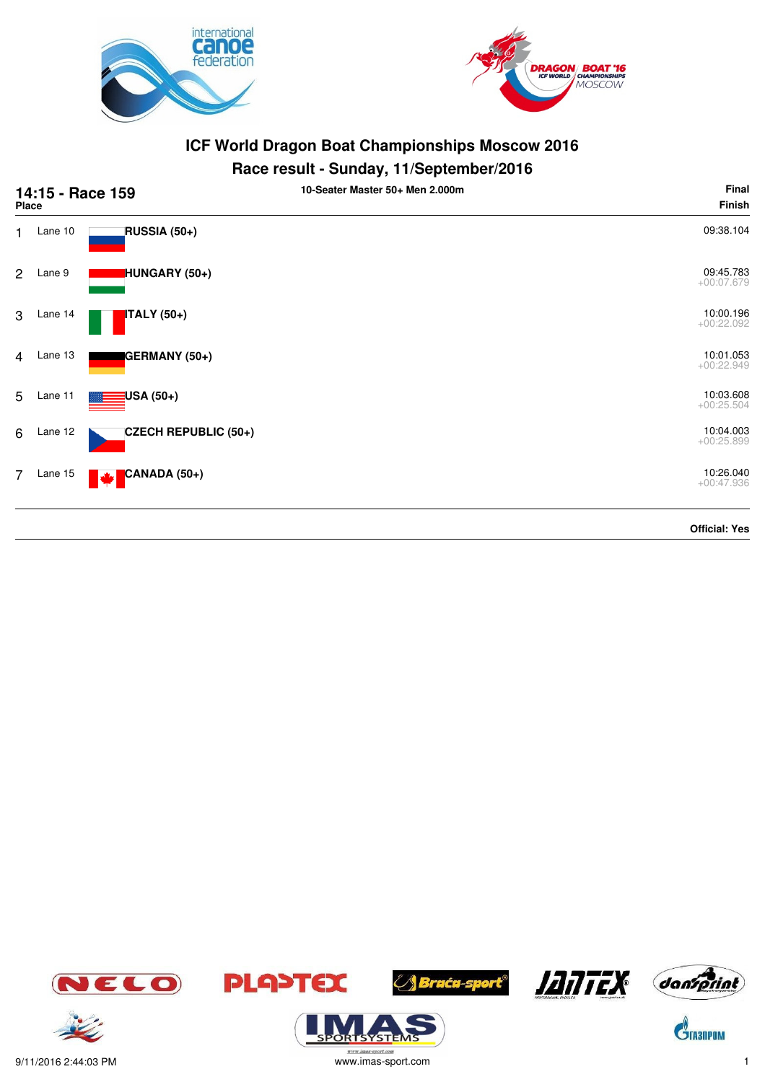



#### **Race result - Sunday, 11/September/2016**

|                | Place   | 14:15 - Race 159     | . .<br>10-Seater Master 50+ Men 2.000m | Final<br><b>Finish</b>    |
|----------------|---------|----------------------|----------------------------------------|---------------------------|
| 1.             | Lane 10 | RUSSIA (50+)         |                                        | 09:38.104                 |
| $\overline{2}$ | Lane 9  | HUNGARY (50+)        |                                        | 09:45.783<br>$+00:07.679$ |
| 3              | Lane 14 | <b>ITALY</b> (50+)   |                                        | 10:00.196<br>$+00:22.092$ |
| 4              | Lane 13 | GERMANY (50+)        |                                        | 10:01.053<br>$+00:22.949$ |
| 5              | Lane 11 | USA (50+)            |                                        | 10:03.608<br>$+00:25.504$ |
| 6              | Lane 12 | CZECH REPUBLIC (50+) |                                        | 10:04.003<br>$+00:25.899$ |
| $\overline{7}$ | Lane 15 | CANADA (50+)<br>M    |                                        | 10:26.040<br>$+00:47.936$ |
|                |         |                      |                                        | <b>Official: Yes</b>      |









**ORISYSTE** 







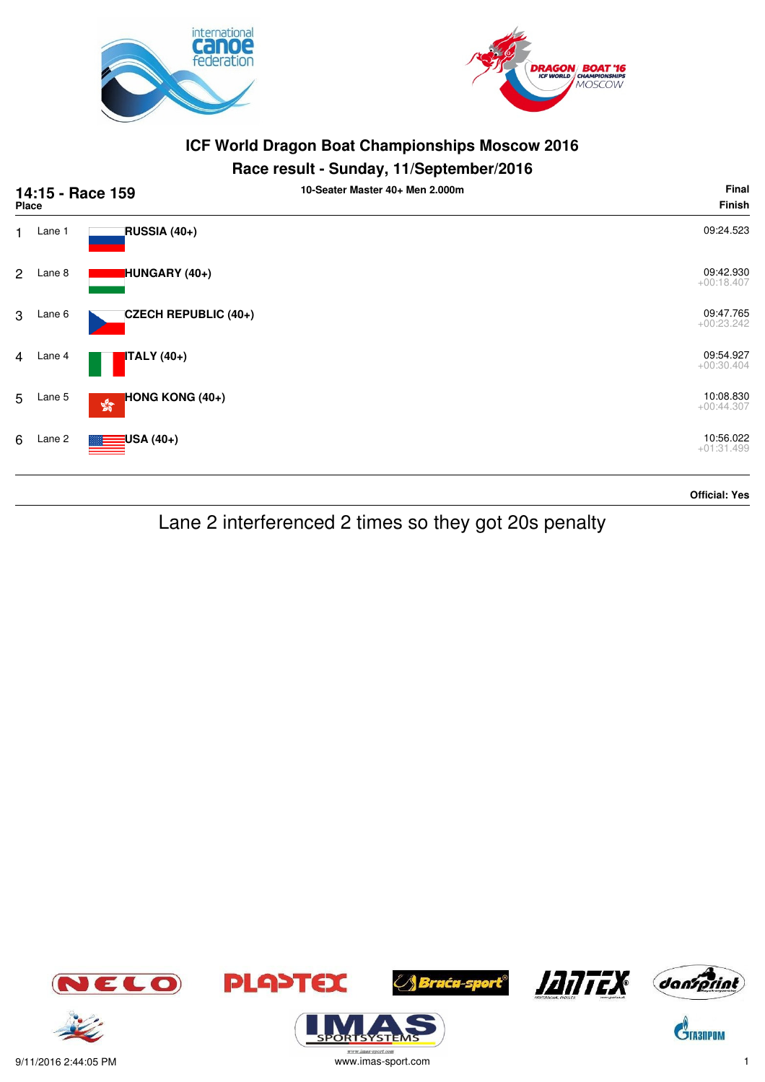



#### **Race result - Sunday, 11/September/2016**

| 14:15 - Race 159<br>Place |        |                                                  | 10-Seater Master 40+ Men 2.000m | Final<br><b>Finish</b>    |
|---------------------------|--------|--------------------------------------------------|---------------------------------|---------------------------|
| $\mathbf{1}$              | Lane 1 | RUSSIA (40+)                                     |                                 | 09:24.523                 |
| $\overline{2}$            | Lane 8 | HUNGARY (40+)                                    |                                 | 09:42.930<br>$+00:18.407$ |
| 3                         | Lane 6 | CZECH REPUBLIC (40+)                             |                                 | 09:47.765<br>$+00:23.242$ |
| $\overline{4}$            | Lane 4 | <b>ITALY</b> (40+)                               |                                 | 09:54.927<br>$+00:30.404$ |
| 5                         | Lane 5 | HONG KONG (40+)<br>$\mathbb{S}^{\mathbb{S}^n}_0$ |                                 | 10:08.830<br>$+00:44.307$ |
| 6                         | Lane 2 | USA (40+)                                        |                                 | 10:56.022<br>$+01:31.499$ |

#### **Official: Yes**

Lane 2 interferenced 2 times so they got 20s penalty



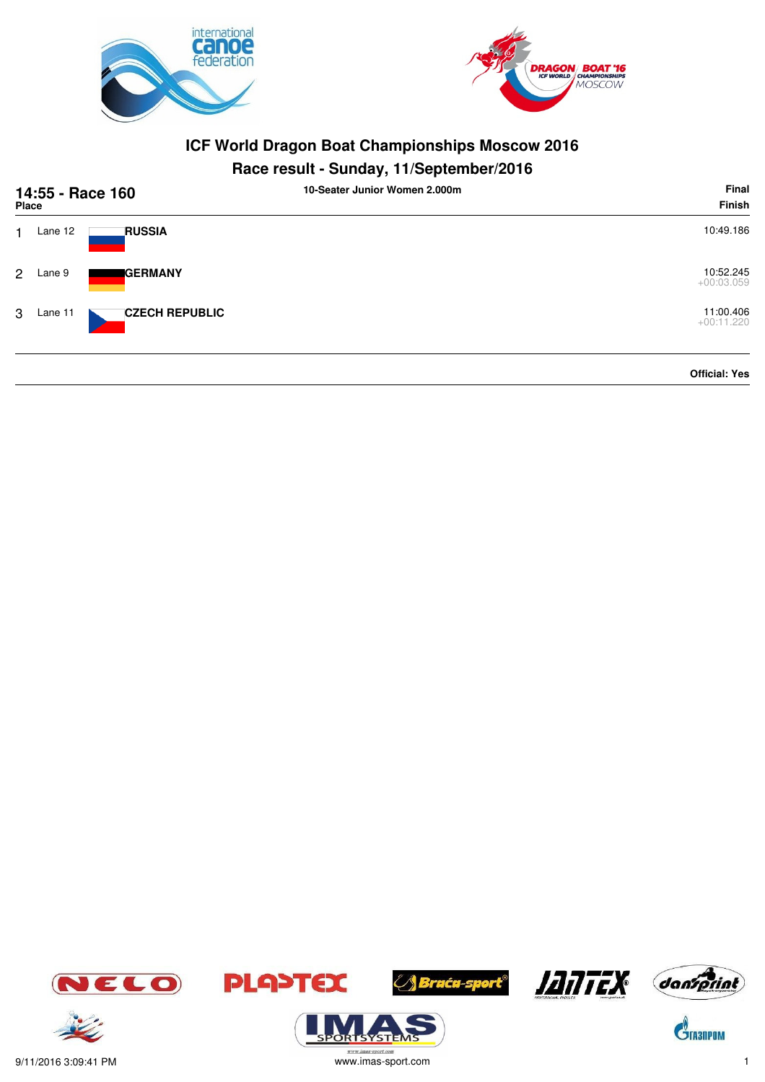



### **Race result - Sunday, 11/September/2016**

| <b>Place</b>   |         | 14:55 - Race 160      | 10-Seater Junior Women 2.000m | <b>Final</b><br>Finish    |  |
|----------------|---------|-----------------------|-------------------------------|---------------------------|--|
|                | Lane 12 | <b>RUSSIA</b>         |                               | 10:49.186                 |  |
| $\overline{2}$ | Lane 9  | <b>I</b> GERMANY      |                               | 10:52.245<br>$+00:03.059$ |  |
| 3              | Lane 11 | <b>CZECH REPUBLIC</b> |                               | 11:00.406<br>$+00:11.220$ |  |
|                |         |                       |                               | <b>Official: Yes</b>      |  |





 $\mathbf{\hat{S}}$ TA3NPOM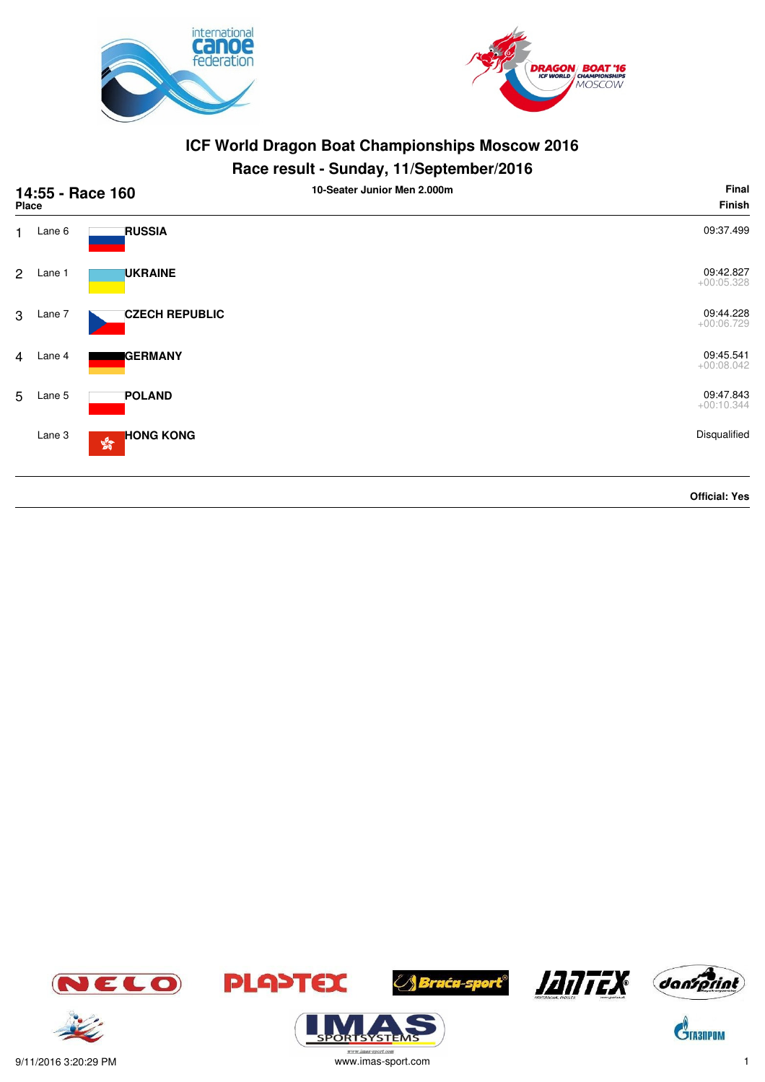



#### **Race result - Sunday, 11/September/2016**

|                | Place  | 14:55 - Race 160                                       | . .<br>10-Seater Junior Men 2.000m | Final<br>Finish           |
|----------------|--------|--------------------------------------------------------|------------------------------------|---------------------------|
| $\mathbf{1}$   | Lane 6 | <b>RUSSIA</b>                                          |                                    | 09:37.499                 |
| $\overline{2}$ | Lane 1 | <b>UKRAINE</b>                                         |                                    | 09:42.827<br>$+00:05.328$ |
| 3              | Lane 7 | <b>CZECH REPUBLIC</b>                                  |                                    | 09:44.228<br>$+00:06.729$ |
| $\overline{4}$ | Lane 4 | <b>GERMANY</b>                                         |                                    | 09:45.541<br>$+00:08.042$ |
| 5              | Lane 5 | <b>POLAND</b>                                          |                                    | 09:47.843<br>$+00:10.344$ |
|                | Lane 3 | <b>HONG KONG</b><br>$\mathbf{S}^{\text{P}}_{\text{Q}}$ |                                    | Disqualified              |
|                |        |                                                        |                                    | <b>Official: Yes</b>      |











 $\mathbf{\hat{S}}$ TA3NPOM





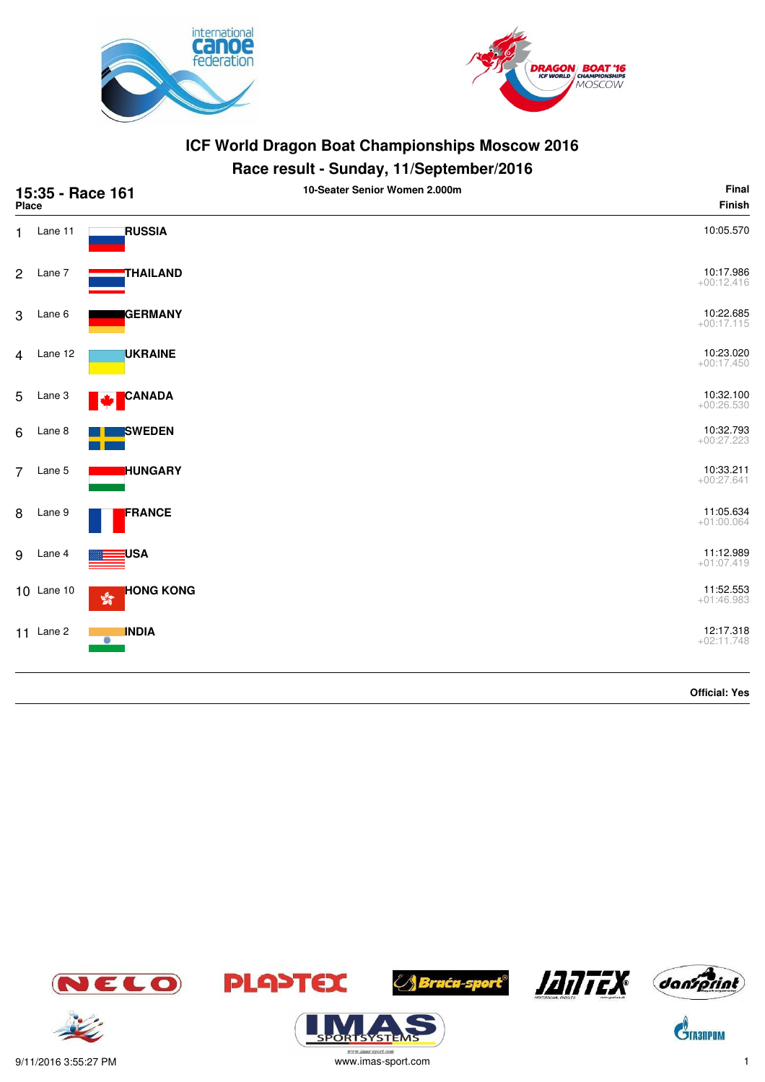



#### **Race result - Sunday, 11/September/2016**

| 15:35 - Race 161<br><b>Place</b> |             |                                    | 10-Seater Senior Women 2.000m | Final<br>Finish           |
|----------------------------------|-------------|------------------------------------|-------------------------------|---------------------------|
| 1.                               | Lane 11     | <b>RUSSIA</b>                      |                               | 10:05.570                 |
| 2                                | Lane 7      | <b>THAILAND</b>                    |                               | 10:17.986<br>$+00:12.416$ |
| 3                                | Lane 6      | <b>GERMANY</b>                     |                               | 10:22.685<br>$+00:17.115$ |
| $\overline{4}$                   | Lane 12     | <b>UKRAINE</b>                     |                               | 10:23.020<br>$+00:17.450$ |
| 5                                | Lane 3      | <b>CANADA</b><br><b>A</b>          |                               | 10:32.100<br>$+00:26.530$ |
| 6                                | Lane 8      | <b>SWEDEN</b>                      |                               | 10:32.793<br>$+00:27.223$ |
| $\overline{7}$                   | Lane 5      | <b>HUNGARY</b>                     |                               | 10:33.211<br>$+00:27.641$ |
| 8                                | Lane 9      | FRANCE                             |                               | 11:05.634<br>$+01:00.064$ |
| $9\,$                            | Lane 4      | <b>USA</b>                         |                               | 11:12.989<br>$+01:07.419$ |
|                                  | 10 Lane 10  | <b>HONG KONG</b><br>$\frac{1}{20}$ |                               | 11:52.553<br>$+01:46.983$ |
|                                  | $11$ Lane 2 | <b>INDIA</b><br>6                  |                               | 12:17.318<br>$+02:11.748$ |

**JANTEX** dansprint *A Bruću-sport®* JELO **PLA>TEX**  $\mathbf{\hat{S}}$ TA3NPOM



**Official: Yes**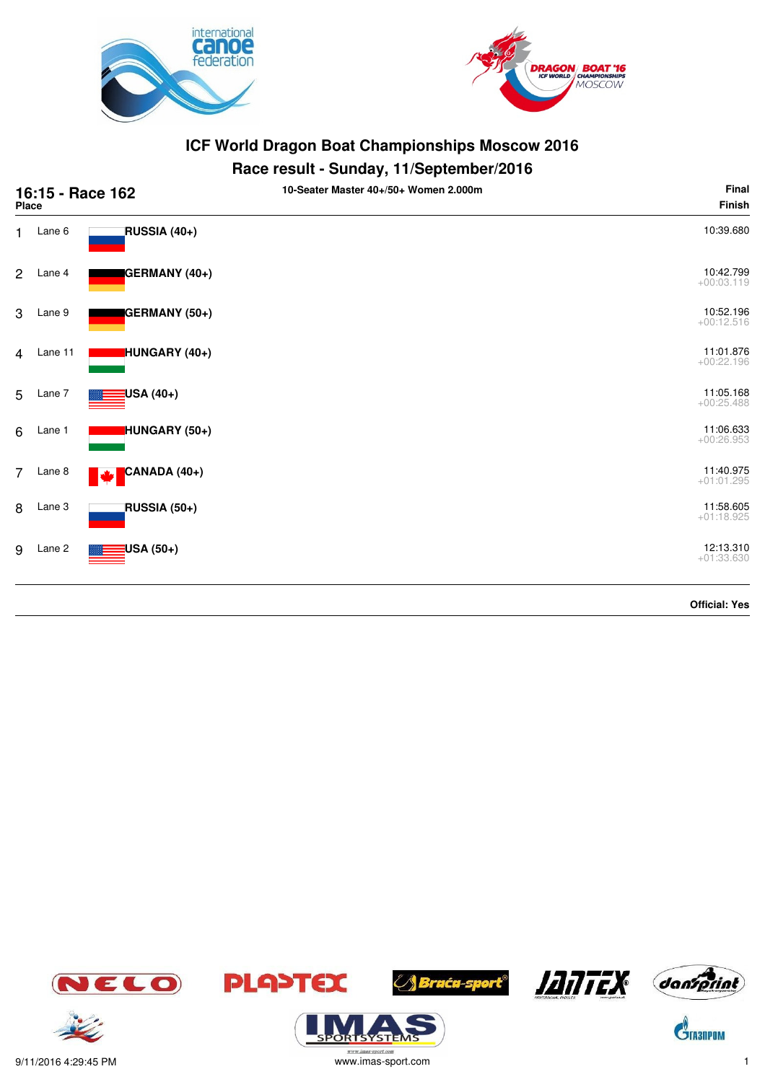



#### **Race result - Sunday, 11/September/2016**

| 16:15 - Race 162<br>Place |         |                     | 10-Seater Master 40+/50+ Women 2.000m | Final<br><b>Finish</b>    |
|---------------------------|---------|---------------------|---------------------------------------|---------------------------|
| 1.                        | Lane 6  | RUSSIA (40+)        |                                       | 10:39.680                 |
| $\overline{2}$            | Lane 4  | GERMANY (40+)       |                                       | 10:42.799<br>$+00:03.119$ |
| 3                         | Lane 9  | GERMANY (50+)       |                                       | 10:52.196<br>$+00:12.516$ |
| 4                         | Lane 11 | HUNGARY (40+)       |                                       | 11:01.876<br>$+00:22.196$ |
| 5                         | Lane 7  | USA (40+)           |                                       | 11:05.168<br>$+00:25.488$ |
| 6                         | Lane 1  | HUNGARY (50+)       |                                       | 11:06.633<br>$+00:26.953$ |
| $\overline{7}$            | Lane 8  | CANADA (40+)        |                                       | 11:40.975<br>$+01:01.295$ |
| 8                         | Lane 3  | <b>RUSSIA (50+)</b> |                                       | 11:58.605<br>$+01:18.925$ |
| 9                         | Lane 2  | USA (50+)           |                                       | 12:13.310<br>$+01:33.630$ |
|                           |         |                     |                                       | <b>Official: Yes</b>      |







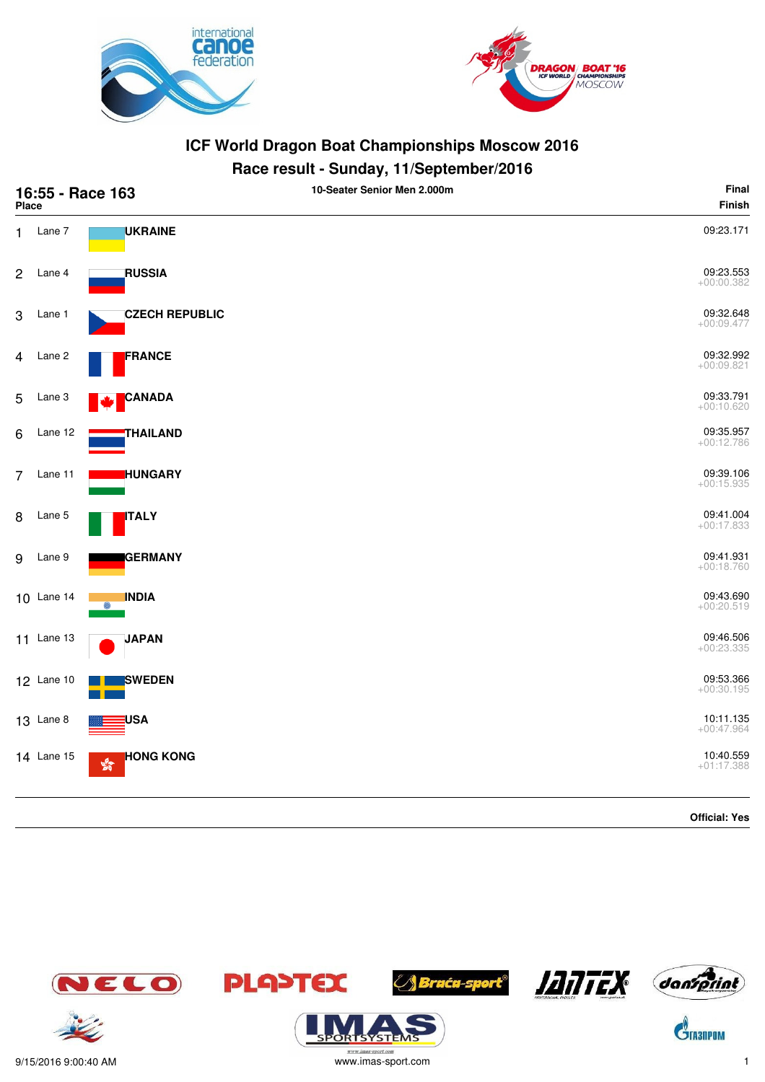



# **Race result - Sunday, 11/September/2016**

| 16:55 - Race 163<br><b>Place</b> |                   |                                                  | 10-Seater Senior Men 2.000m | Final<br>Finish           |
|----------------------------------|-------------------|--------------------------------------------------|-----------------------------|---------------------------|
| 1.                               | Lane 7            | <b>UKRAINE</b>                                   |                             | 09:23.171                 |
| $\overline{c}$                   | Lane 4            | <b>RUSSIA</b>                                    |                             | 09:23.553<br>$+00:00.382$ |
| 3                                | Lane 1            | <b>CZECH REPUBLIC</b>                            |                             | 09:32.648<br>$+00:09.477$ |
| 4                                | Lane 2            | FRANCE                                           |                             | 09:32.992<br>$+00:09.821$ |
| 5                                | Lane 3            | <b>CANADA</b>                                    |                             | 09:33.791<br>$+00:10.620$ |
| 6                                | Lane 12           | THAILAND                                         |                             | 09:35.957<br>$+00:12.786$ |
| $\overline{7}$                   | Lane 11           | <b>HUNGARY</b>                                   |                             | 09:39.106<br>$+00:15.935$ |
| 8                                | Lane 5            | <b>ITALY</b>                                     |                             | 09:41.004<br>$+00:17.833$ |
| 9                                | Lane 9            | <b>GERMANY</b>                                   |                             | 09:41.931<br>$+00:18.760$ |
|                                  | 10 Lane 14        | <b>INDIA</b>                                     |                             | 09:43.690<br>$+00:20.519$ |
|                                  | 11 Lane 13        | <b>JAPAN</b>                                     |                             | 09:46.506<br>$+00:23.335$ |
|                                  | 12 Lane 10        | SWEDEN                                           |                             | 09:53.366<br>$+00:30.195$ |
|                                  | <b>13</b> Lane 8  | <b>USA</b>                                       |                             | 10:11.135<br>$+00:47.964$ |
|                                  | <b>14 Lane 15</b> | <b>HONG KONG</b><br>$\frac{\sqrt{3}}{2\sqrt{3}}$ |                             | 10:40.559<br>$+01:17.388$ |
|                                  |                   |                                                  |                             | <b>Official: Yes</b>      |

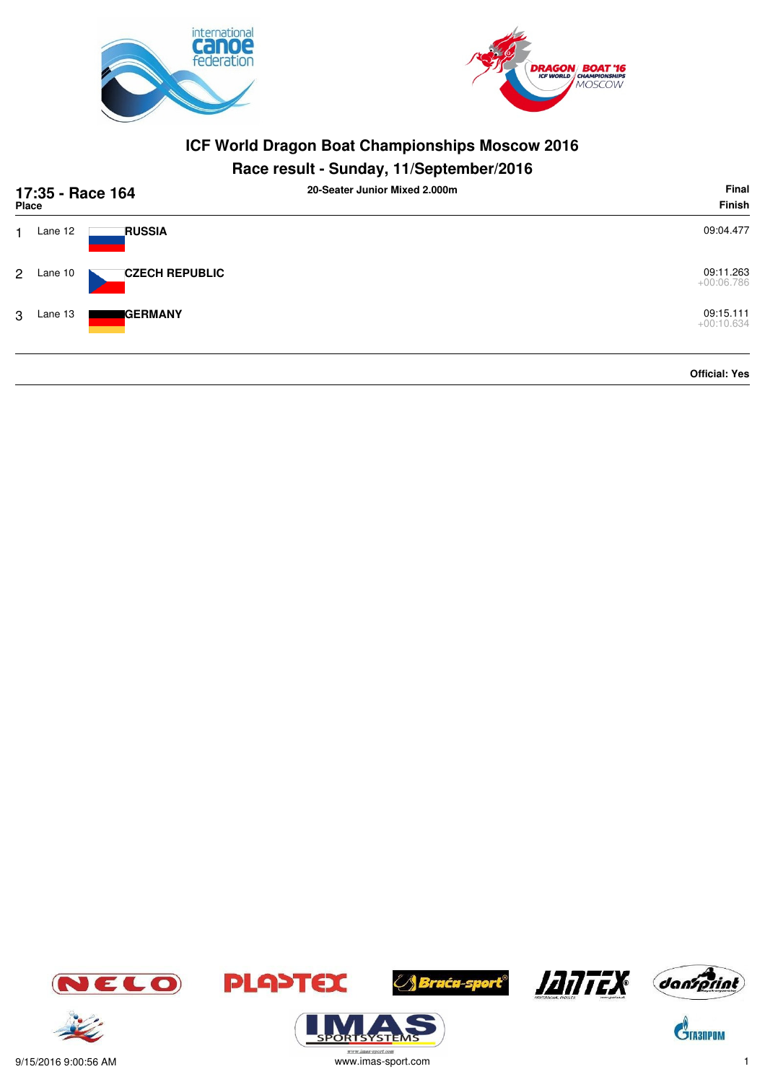



# **Race result - Sunday, 11/September/2016**

| 17:35 - Race 164<br>Place |         |                       | 20-Seater Junior Mixed 2,000m | Final<br>Finish           |
|---------------------------|---------|-----------------------|-------------------------------|---------------------------|
|                           | Lane 12 | <b>RUSSIA</b>         |                               | 09:04.477                 |
| $2^{\circ}$               | Lane 10 | <b>CZECH REPUBLIC</b> |                               | 09:11.263<br>$+00:06.786$ |
| 3                         | Lane 13 | <b>GERMANY</b>        |                               | 09:15.111<br>$+00:10.634$ |
|                           |         |                       |                               | <b>Official: Yes</b>      |















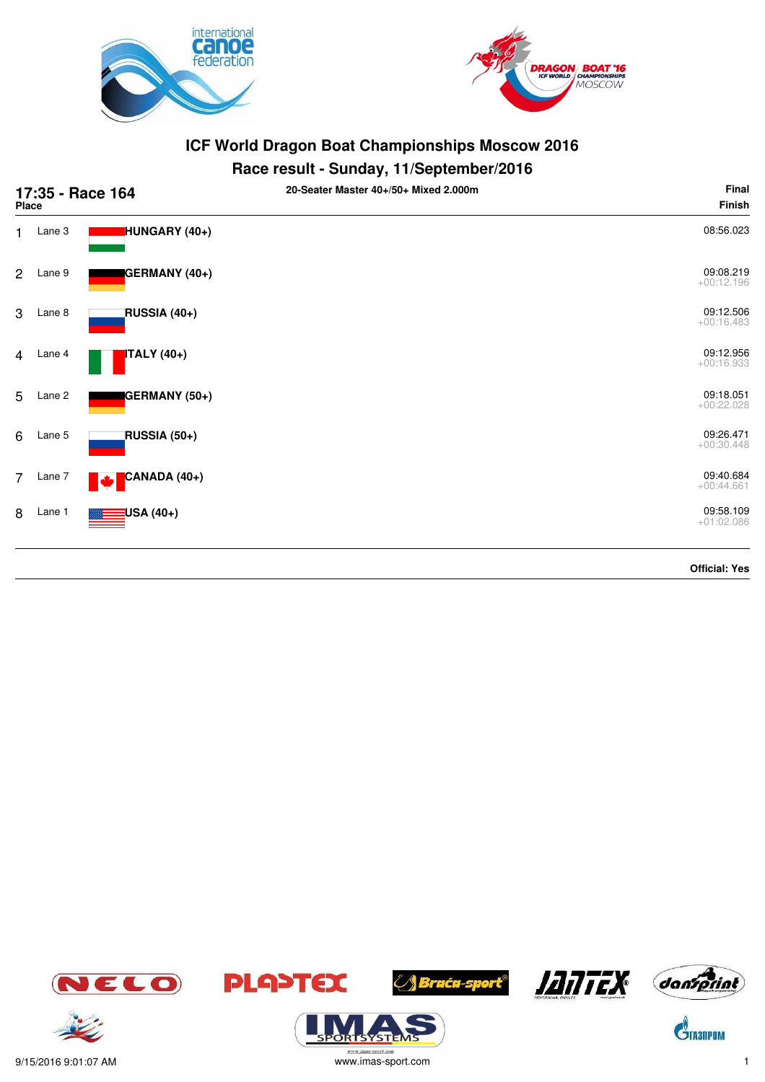



# **Race result - Sunday, 11/September/2016**

|                | Place  | 17:35 - Race 164     | 20-Seater Master 40+/50+ Mixed 2.000m | Final<br>Finish           |
|----------------|--------|----------------------|---------------------------------------|---------------------------|
| 1              | Lane 3 | <b>HUNGARY</b> (40+) |                                       | 08:56.023                 |
| $\overline{2}$ | Lane 9 | GERMANY (40+)        |                                       | 09:08.219<br>$+00:12.196$ |
| 3              | Lane 8 | RUSSIA (40+)         |                                       | 09:12.506<br>$+00:16.483$ |
| $\overline{4}$ | Lane 4 | <b>ITALY</b> (40+)   |                                       | 09:12.956<br>$+00:16.933$ |
| 5              | Lane 2 | GERMANY (50+)        |                                       | 09:18.051<br>$+00:22.028$ |
| 6              | Lane 5 | RUSSIA (50+)         |                                       | 09:26.471<br>$+00:30.448$ |
| $\overline{7}$ | Lane 7 | CANADA (40+)<br>M    |                                       | 09:40.684<br>$+00:44.661$ |
| 8              | Lane 1 | USA (40+)            |                                       | 09:58.109<br>$+01:02.086$ |
|                |        |                      |                                       | <b>Official: Yes</b>      |



ORISYSTE